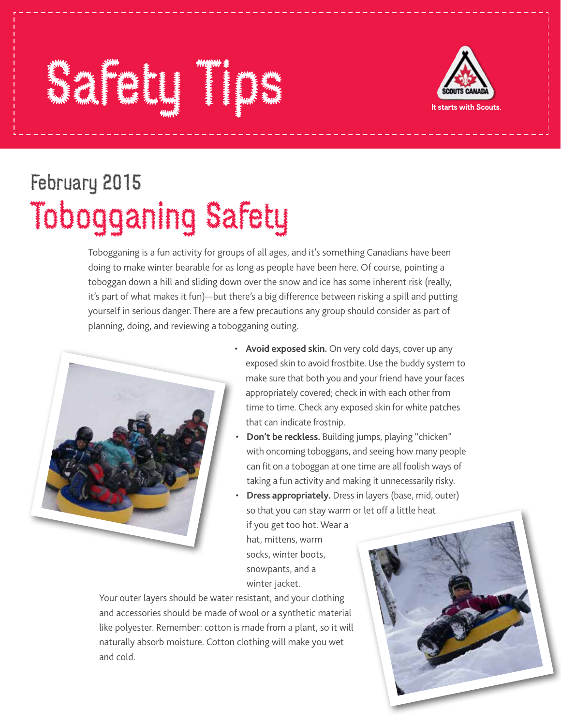## Safety Tips The Manual Point of the Manual Point of the Manual Point of the Manual Point of the Manual Point of the Manual Point of the Manual Point of the Manual Point of the Manual Point of the Manual Point of the Manual



## February 2015 Tobogganing Safety

Tobogganing is a fun activity for groups of all ages, and it's something Canadians have been doing to make winter bearable for as long as people have been here. Of course, pointing a toboggan down a hill and sliding down over the snow and ice has some inherent risk (really, it's part of what makes it fun)—but there's a big difference between risking a spill and putting yourself in serious danger. There are a few precautions any group should consider as part of planning, doing, and reviewing a tobogganing outing.



- **Avoid exposed skin.** On very cold days, cover up any exposed skin to avoid frostbite. Use the buddy system to make sure that both you and your friend have your faces appropriately covered; check in with each other from time to time. Check any exposed skin for white patches that can indicate frostnip.
- **Don't be reckless.** Building jumps, playing "chicken" with oncoming toboggans, and seeing how many people can fit on a toboggan at one time are all foolish ways of taking a fun activity and making it unnecessarily risky.
- **Dress appropriately.** Dress in layers (base, mid, outer) so that you can stay warm or let off a little heat if you get too hot. Wear a hat, mittens, warm socks, winter boots, snowpants, and a winter jacket.

Your outer layers should be water resistant, and your clothing and accessories should be made of wool or a synthetic material like polyester. Remember: cotton is made from a plant, so it will naturally absorb moisture. Cotton clothing will make you wet and cold.